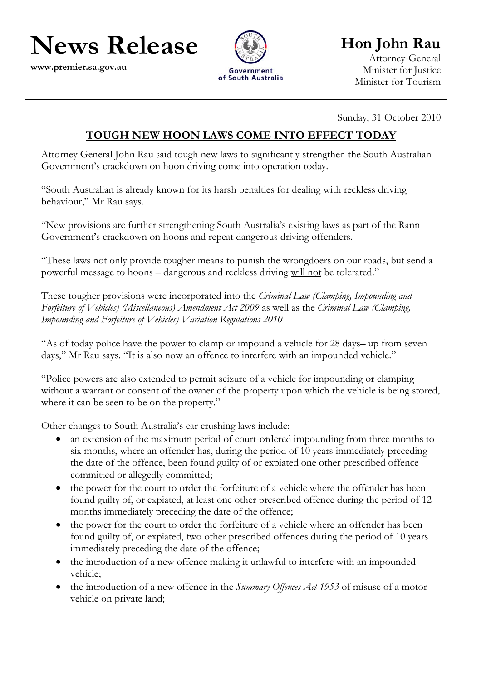**News Release** 

**www.premier.sa.gov.au**



## **Hon John Rau**

Attorney-General Minister for Justice Minister for Tourism

Sunday, 31 October 2010

## <sup>U</sup>**TOUGH NEW HOON LAWS COME INTO EFFECT TODAY**

Attorney General John Rau said tough new laws to significantly strengthen the South Australian Government's crackdown on hoon driving come into operation today.

"South Australian is already known for its harsh penalties for dealing with reckless driving behaviour," Mr Rau says.

"New provisions are further strengthening South Australia's existing laws as part of the Rann Government's crackdown on hoons and repeat dangerous driving offenders.

"These laws not only provide tougher means to punish the wrongdoers on our roads, but send a powerful message to hoons – dangerous and reckless driving will not be tolerated."

These tougher provisions were incorporated into the *Criminal Law (Clamping, Impounding and Forfeiture of Vehicles) (Miscellaneous) Amendment Act 2009* as well as the *Criminal Law (Clamping, Impounding and Forfeiture of Vehicles) Variation Regulations 2010*

"As of today police have the power to clamp or impound a vehicle for 28 days– up from seven days," Mr Rau says. "It is also now an offence to interfere with an impounded vehicle."

"Police powers are also extended to permit seizure of a vehicle for impounding or clamping without a warrant or consent of the owner of the property upon which the vehicle is being stored, where it can be seen to be on the property."

Other changes to South Australia's car crushing laws include:

- an extension of the maximum period of court-ordered impounding from three months to six months, where an offender has, during the period of 10 years immediately preceding the date of the offence, been found guilty of or expiated one other prescribed offence committed or allegedly committed;
- the power for the court to order the forfeiture of a vehicle where the offender has been found guilty of, or expiated, at least one other prescribed offence during the period of 12 months immediately preceding the date of the offence;
- the power for the court to order the forfeiture of a vehicle where an offender has been found guilty of, or expiated, two other prescribed offences during the period of 10 years immediately preceding the date of the offence;
- the introduction of a new offence making it unlawful to interfere with an impounded vehicle;
- the introduction of a new offence in the *Summary Offences Act 1953* of misuse of a motor vehicle on private land;